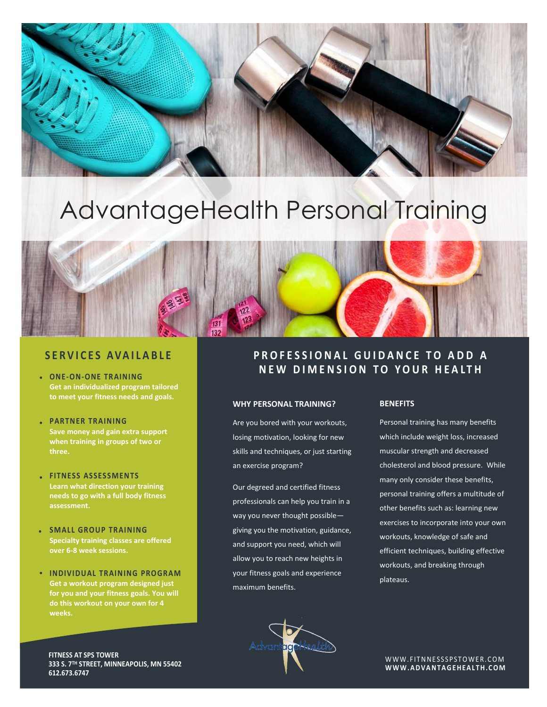# AdvantageHealth Personal Training

### **S E R V I C E S A VA I L A B L E**

- **ONE-ON-ONE TRAINING Get an individualized program tailored to meet your fitness needs and goals.**
- **PARTN ER TR AINING Save money and gain extra support when training in groups of two or three.**
- **FITNESS ASSESSMEN TS Learn what direction your training needs to go with a full body fitness assessment.**
- **SMALL GROUP TRAINING Specialty training classes are offered over 6-8 week sessions.**
- **INDIVIDUAL TR AINING PROGRAM Get a workout program designed just for you and your fitness goals. You will do this workout on your own for 4 weeks.**

### PROFESSIONAL GUIDANCE TO ADD A **NEW DIMENSION TO YOUR HEALTH**

### **WHY PERSONAL TRAINING?**

Are you bored with your workouts, losing motivation, looking for new skills and techniques, or just starting an exercise program?

Our degreed and certified fitness professionals can help you train in a way you never thought possible giving you the motivation, guidance, and support you need, which will allow you to reach new heights in your fitness goals and experience maximum benefits.

### **BENEFITS**

Personal training has many benefits which include weight loss, increased muscular strength and decreased cholesterol and blood pressure. While many only consider these benefits, personal training offers a multitude of other benefits such as: learning new exercises to incorporate into your own workouts, knowledge of safe and efficient techniques, building effective workouts, and breaking through plateaus.



WWW.FITNNESSSPSTOWER.COM **W W W . A DV A N TA G E HE A L T H. C O M**

**FITNESS AT SPS TOWER 333 S. 7TH STREET, MINNEAPOLIS, MN 55402 612.673.6747**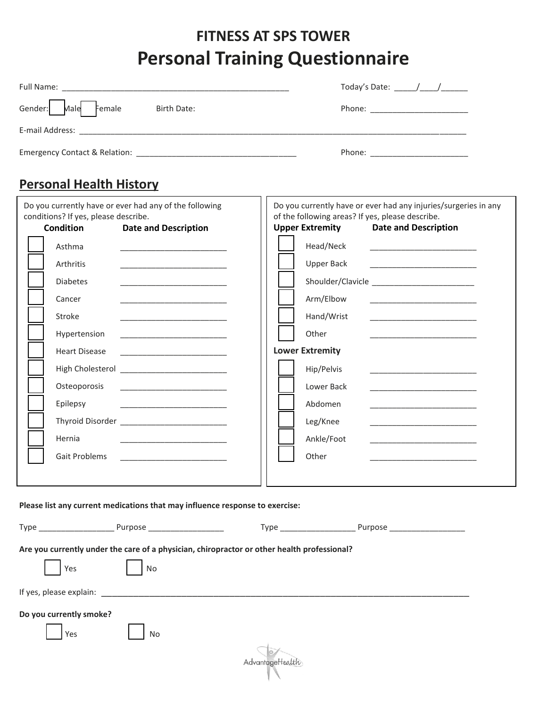## **FITNESS AT SPS TOWER Personal Training Questionnaire**

|                                                                               | Today's Date: $\frac{1}{\sqrt{1-\frac{1}{2}}}\sqrt{1-\frac{1}{2}}$ |
|-------------------------------------------------------------------------------|--------------------------------------------------------------------|
| Gender: Male Female<br>Birth Date:                                            | Phone: ________________________                                    |
| E-mail Address:<br><u> 1989 - John Stein, Amerikaansk politiker (</u> † 1920) |                                                                    |
|                                                                               | Phone: ____________________                                        |

## **Personal Health History**

| conditions? If yes, please describe. | Do you currently have or ever had any of the following                                                                                                                                                                               | of the following areas? If yes, please describe.                                            | Do you currently have or ever had any injuries/surgeries in any                                                      |
|--------------------------------------|--------------------------------------------------------------------------------------------------------------------------------------------------------------------------------------------------------------------------------------|---------------------------------------------------------------------------------------------|----------------------------------------------------------------------------------------------------------------------|
| <b>Condition</b>                     | <b>Date and Description</b>                                                                                                                                                                                                          | <b>Upper Extremity</b>                                                                      | <b>Date and Description</b>                                                                                          |
| Asthma                               |                                                                                                                                                                                                                                      | Head/Neck                                                                                   | <u> 1990 - Johann John Stone, markin amerikan basar dan berkembang di bagi dan bagi dalam bagi dalam bagi dalam </u> |
| Arthritis                            |                                                                                                                                                                                                                                      | Upper Back                                                                                  |                                                                                                                      |
| <b>Diabetes</b>                      |                                                                                                                                                                                                                                      |                                                                                             |                                                                                                                      |
| Cancer                               |                                                                                                                                                                                                                                      | Arm/Elbow                                                                                   |                                                                                                                      |
| Stroke                               |                                                                                                                                                                                                                                      | Hand/Wrist                                                                                  |                                                                                                                      |
| Hypertension                         |                                                                                                                                                                                                                                      | Other                                                                                       |                                                                                                                      |
| <b>Heart Disease</b>                 |                                                                                                                                                                                                                                      | <b>Lower Extremity</b>                                                                      |                                                                                                                      |
|                                      |                                                                                                                                                                                                                                      | Hip/Pelvis                                                                                  | and the control of the control of the control of the control of the control of the control of                        |
| Osteoporosis                         | <u> 1980 - Jan Stein Harry Harry Harry Harry Harry Harry Harry Harry Harry Harry Harry Harry Harry Harry Harry Harry Harry Harry Harry Harry Harry Harry Harry Harry Harry Harry Harry Harry Harry Harry Harry Harry Harry Harry</u> | Lower Back                                                                                  |                                                                                                                      |
| Epilepsy                             | the control of the control of the control of the control of the control of the control of                                                                                                                                            | Abdomen                                                                                     |                                                                                                                      |
|                                      |                                                                                                                                                                                                                                      | Leg/Knee                                                                                    |                                                                                                                      |
| Hernia                               |                                                                                                                                                                                                                                      | Ankle/Foot                                                                                  |                                                                                                                      |
| Gait Problems                        |                                                                                                                                                                                                                                      | Other                                                                                       |                                                                                                                      |
|                                      |                                                                                                                                                                                                                                      |                                                                                             |                                                                                                                      |
|                                      | Please list any current medications that may influence response to exercise:                                                                                                                                                         |                                                                                             |                                                                                                                      |
| Yes                                  | No                                                                                                                                                                                                                                   | Are you currently under the care of a physician, chiropractor or other health professional? |                                                                                                                      |
| If yes, please explain:              |                                                                                                                                                                                                                                      |                                                                                             |                                                                                                                      |
| Do you currently smoke?<br>Yes       | No                                                                                                                                                                                                                                   |                                                                                             |                                                                                                                      |
|                                      |                                                                                                                                                                                                                                      | AdvantageHealth                                                                             |                                                                                                                      |
|                                      |                                                                                                                                                                                                                                      |                                                                                             |                                                                                                                      |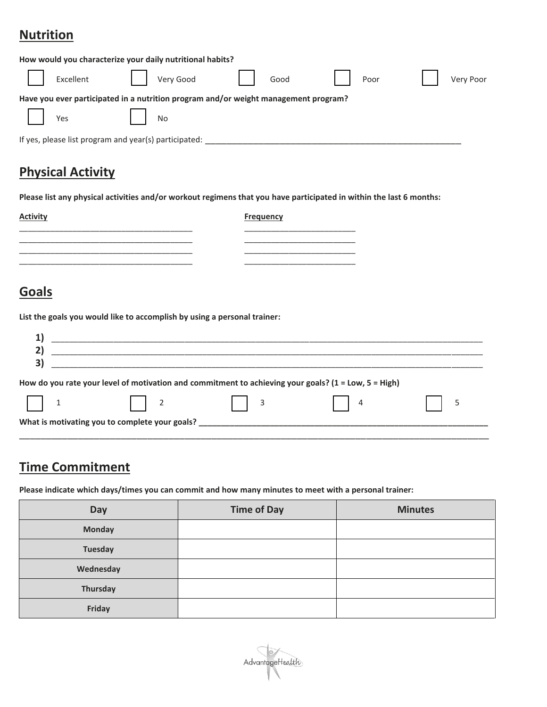## **Nutrition**

|                                                       | How would you characterize your daily nutritional habits?                           |      |      |           |
|-------------------------------------------------------|-------------------------------------------------------------------------------------|------|------|-----------|
| Excellent                                             | Very Good                                                                           | Good | Poor | Very Poor |
|                                                       | Have you ever participated in a nutrition program and/or weight management program? |      |      |           |
| Yes                                                   | No                                                                                  |      |      |           |
| If yes, please list program and year(s) participated: |                                                                                     |      |      |           |

## **Physical Activity**

**Please list any physical activities and/or workout regimens that you have participated in within the last 6 months:**

| <b>Activity</b> | <b>Frequency</b> |
|-----------------|------------------|
| _________       |                  |
|                 |                  |
|                 |                  |

## **Goals**

**List the goals you would like to accomplish by using a personal trainer:**

|                                                                                                                                                                                                                                                                                                                                                                                                                  | <u> 2000 - 2000 - 2000 - 2000 - 2000 - 2000 - 2000 - 2000 - 2000 - 2000 - 2000 - 2000 - 2000 - 2000 - 2000 - 200</u>                                      |                                                     |           |   |
|------------------------------------------------------------------------------------------------------------------------------------------------------------------------------------------------------------------------------------------------------------------------------------------------------------------------------------------------------------------------------------------------------------------|-----------------------------------------------------------------------------------------------------------------------------------------------------------|-----------------------------------------------------|-----------|---|
| $\begin{array}{ c c c c c }\n\hline\n\text{1} & \text{1} & \text{1} & \text{1} & \text{1} & \text{1} & \text{1} & \text{1} & \text{1} & \text{1} & \text{1} & \text{1} & \text{1} & \text{1} & \text{1} & \text{1} & \text{1} & \text{1} & \text{1} & \text{1} & \text{1} & \text{1} & \text{1} & \text{1} & \text{1} & \text{1} & \text{1} & \text{1} & \text{1} & \text{1} & \text{1} & \text{1} & \text{1} &$ | How do you rate your level of motivation and commitment to achieving your goals? (1 = Low, 5 = High)<br>$\begin{array}{ c c c c c } \hline \end{array}$ 2 | $\begin{array}{ c c c c c } \hline \end{array}$   3 | $\vert$ 4 | 5 |
|                                                                                                                                                                                                                                                                                                                                                                                                                  | What is motivating you to complete your goals? _________________________________                                                                          |                                                     |           |   |

## **Time Commitment**

**Please indicate which days/times you can commit and how many minutes to meet with a personal trainer:**

| <b>Day</b>     | <b>Time of Day</b> | <b>Minutes</b> |
|----------------|--------------------|----------------|
| <b>Monday</b>  |                    |                |
| <b>Tuesday</b> |                    |                |
| Wednesday      |                    |                |
| Thursday       |                    |                |
| Friday         |                    |                |

AdvantageHealth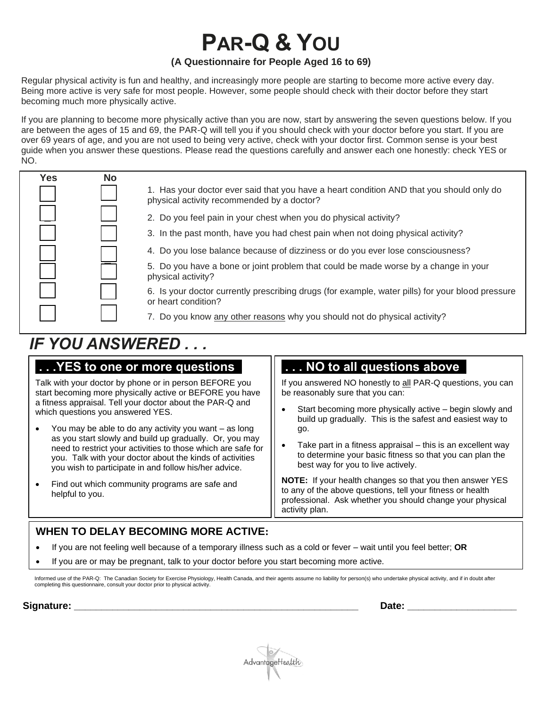# **PAR-Q & YOU**

### **(A Questionnaire for People Aged 16 to 69)**

Regular physical activity is fun and healthy, and increasingly more people are starting to become more active every day. Being more active is very safe for most people. However, some people should check with their doctor before they start becoming much more physically active.

If you are planning to become more physically active than you are now, start by answering the seven questions below. If you are between the ages of 15 and 69, the PAR-Q will tell you if you should check with your doctor before you start. If you are over 69 years of age, and you are not used to being very active, check with your doctor first. Common sense is your best guide when you answer these questions. Please read the questions carefully and answer each one honestly: check YES or NO.

| Yes | <b>No</b> |                                                                                                                                        |
|-----|-----------|----------------------------------------------------------------------------------------------------------------------------------------|
|     |           | 1. Has your doctor ever said that you have a heart condition AND that you should only do<br>physical activity recommended by a doctor? |
|     |           | 2. Do you feel pain in your chest when you do physical activity?                                                                       |
|     |           | 3. In the past month, have you had chest pain when not doing physical activity?                                                        |
|     |           | 4. Do you lose balance because of dizziness or do you ever lose consciousness?                                                         |
|     |           | 5. Do you have a bone or joint problem that could be made worse by a change in your<br>physical activity?                              |
|     |           | 6. Is your doctor currently prescribing drugs (for example, water pills) for your blood pressure<br>or heart condition?                |
|     |           | 7. Do you know any other reasons why you should not do physical activity?                                                              |

## *IF YOU ANSWERED . . .*

## **. . .YES to one or more questions\_**

Talk with your doctor by phone or in person BEFORE you start becoming more physically active or BEFORE you have a fitness appraisal. Tell your doctor about the PAR-Q and which questions you answered YES.

- You may be able to do any activity you want as long as you start slowly and build up gradually. Or, you may need to restrict your activities to those which are safe for you. Talk with your doctor about the kinds of activities you wish to participate in and follow his/her advice.
- Find out which community programs are safe and helpful to you.

## **. . . NO to all questions abovee**

If you answered NO honestly to all PAR-Q questions, you can be reasonably sure that you can:

- Start becoming more physically active begin slowly and build up gradually. This is the safest and easiest way to go.
- Take part in a fitness appraisal  $-$  this is an excellent way to determine your basic fitness so that you can plan the best way for you to live actively.

**NOTE:** If your health changes so that you then answer YES to any of the above questions, tell your fitness or health professional. Ask whether you should change your physical activity plan.

## **WHEN TO DELAY BECOMING MORE ACTIVE:**

- If you are not feeling well because of a temporary illness such as a cold or fever wait until you feel better; **OR**
- If you are or may be pregnant, talk to your doctor before you start becoming more active.

Informed use of the PAR-Q: The Canadian Society for Exercise Physiology, Health Canada, and their agents assume no liability for person(s) who undertake physical activity, and if in doubt after completing this questionnaire, consult your doctor prior to physical activity.

**Signature: \_\_\_\_\_\_\_\_\_\_\_\_\_\_\_\_\_\_\_\_\_\_\_\_\_\_\_\_\_\_\_\_\_\_\_\_\_\_\_\_\_\_\_\_\_\_\_\_\_\_\_\_ Date: \_\_\_\_\_\_\_\_\_\_\_\_\_\_\_\_\_\_\_\_**

AdvantageHealth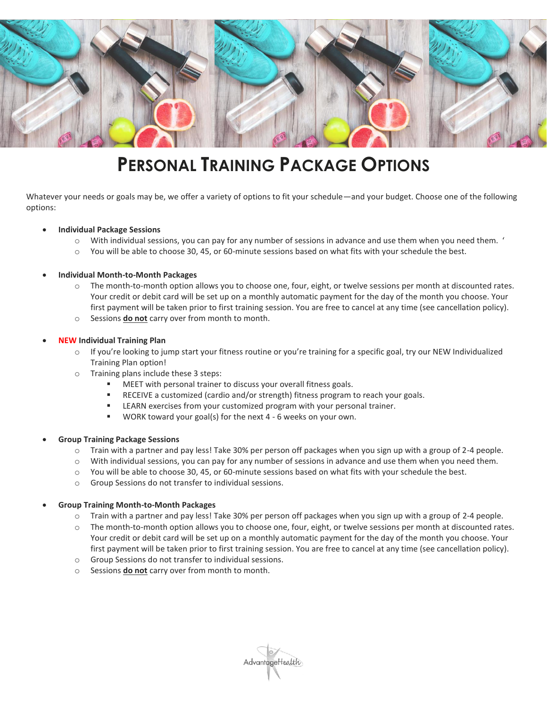

## **PERSONAL TRAINING PACKAGE OPTIONS**

Whatever your needs or goals may be, we offer a variety of options to fit your schedule—and your budget. Choose one of the following options:

#### • **Individual Package Sessions**

- o With individual sessions, you can pay for any number of sessions in advance and use them when you need them. '
- o You will be able to choose 30, 45, or 60-minute sessions based on what fits with your schedule the best.

#### • **Individual Month-to-Month Packages**

- o The month-to-month option allows you to choose one, four, eight, or twelve sessions per month at discounted rates. Your credit or debit card will be set up on a monthly automatic payment for the day of the month you choose. Your first payment will be taken prior to first training session. You are free to cancel at any time (see cancellation policy).
- o Sessions **do not** carry over from month to month.

### • **NEW Individual Training Plan**

- $\circ$  If you're looking to jump start your fitness routine or you're training for a specific goal, try our NEW Individualized Training Plan option!
- o Training plans include these 3 steps:
	- MEET with personal trainer to discuss your overall fitness goals.
	- RECEIVE a customized (cardio and/or strength) fitness program to reach your goals.
	- LEARN exercises from your customized program with your personal trainer.
	- WORK toward your goal(s) for the next 4 6 weeks on your own.

#### • **Group Training Package Sessions**

- o Train with a partner and pay less! Take 30% per person off packages when you sign up with a group of 2-4 people.
- o With individual sessions, you can pay for any number of sessions in advance and use them when you need them.
- o You will be able to choose 30, 45, or 60-minute sessions based on what fits with your schedule the best.
- o Group Sessions do not transfer to individual sessions.

### • **Group Training Month-to-Month Packages**

- o Train with a partner and pay less! Take 30% per person off packages when you sign up with a group of 2-4 people.
- o The month-to-month option allows you to choose one, four, eight, or twelve sessions per month at discounted rates. Your credit or debit card will be set up on a monthly automatic payment for the day of the month you choose. Your first payment will be taken prior to first training session. You are free to cancel at any time (see cancellation policy).
- o Group Sessions do not transfer to individual sessions.
- o Sessions **do not** carry over from month to month.